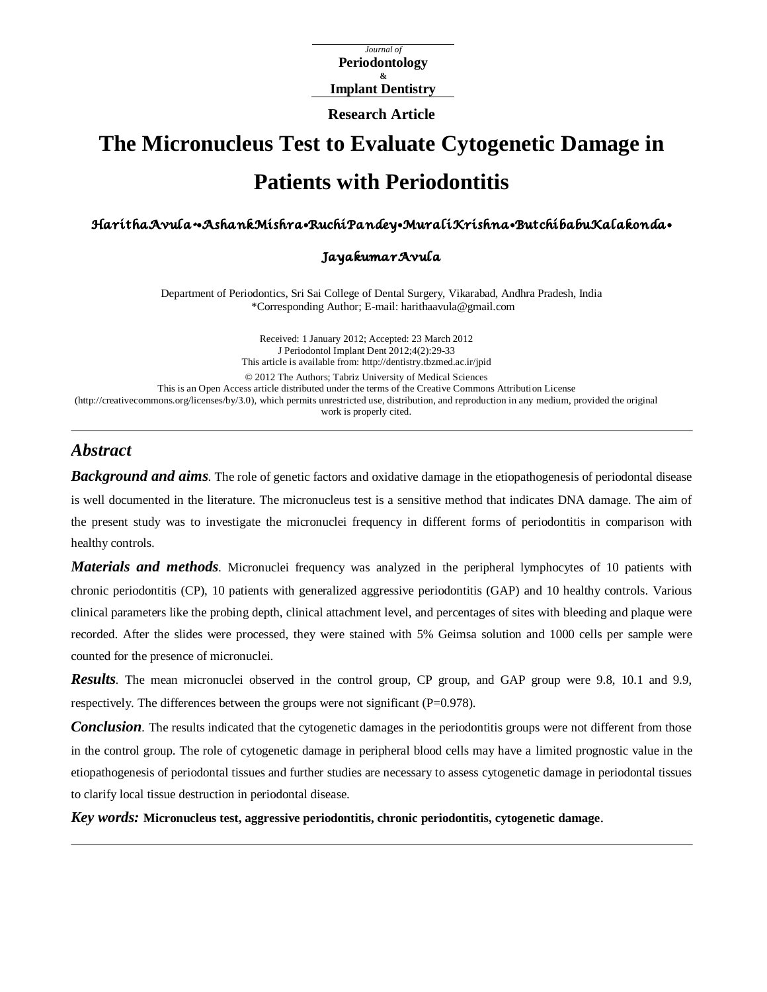*Journal of*  **Periodontology & Implant Dentistry**

**Research Article**

# **The Micronucleus Test to Evaluate Cytogenetic Damage in Patients with Periodontitis**

Haritha Avula\* • Ashank Mishra• Ruchi Pandey • Murali Krishna• Butchi babu Kalakonda •

#### Jayakumar Avula

Department of Periodontics, Sri Sai College of Dental Surgery, Vikarabad, Andhra Pradesh, India \*Corresponding Author; E-mail[: harithaavula@gmail.com](mailto:harithaavula@gmail.com)

Received: 1 January 2012; Accepted: 23 March 2012 J Periodontol Implant Dent 2012;4(2):29-33 This article is available from:<http://dentistry.tbzmed.ac.ir/jpid> © 2012 The Authors; Tabriz University of Medical Sciences This is an Open Access article distributed under the terms of the Creative Commons Attribution License [\(http://creativecommons.org/licenses/by/3.0\)](http://creativecommons.org/licenses/by/3.0), which permits unrestricted use, distribution, and reproduction in any medium, provided the original work is properly cited.

## *Abstract*

*Background and aims*. The role of genetic factors and oxidative damage in the etiopathogenesis of periodontal disease is well documented in the literature. The micronucleus test is a sensitive method that indicates DNA damage. The aim of the present study was to investigate the micronuclei frequency in different forms of periodontitis in comparison with healthy controls.

*Materials and methods.* Micronuclei frequency was analyzed in the peripheral lymphocytes of 10 patients with chronic periodontitis (CP), 10 patients with generalized aggressive periodontitis (GAP) and 10 healthy controls. Various clinical parameters like the probing depth, clinical attachment level, and percentages of sites with bleeding and plaque were recorded. After the slides were processed, they were stained with 5% Geimsa solution and 1000 cells per sample were counted for the presence of micronuclei.

*Results.* The mean micronuclei observed in the control group, CP group, and GAP group were 9.8, 10.1 and 9.9, respectively. The differences between the groups were not significant (P=0.978).

*Conclusion*. The results indicated that the cytogenetic damages in the periodontitis groups were not different from those in the control group. The role of cytogenetic damage in peripheral blood cells may have a limited prognostic value in the etiopathogenesis of periodontal tissues and further studies are necessary to assess cytogenetic damage in periodontal tissues to clarify local tissue destruction in periodontal disease.

*Key words:* **Micronucleus test, aggressive periodontitis, chronic periodontitis, cytogenetic damage**.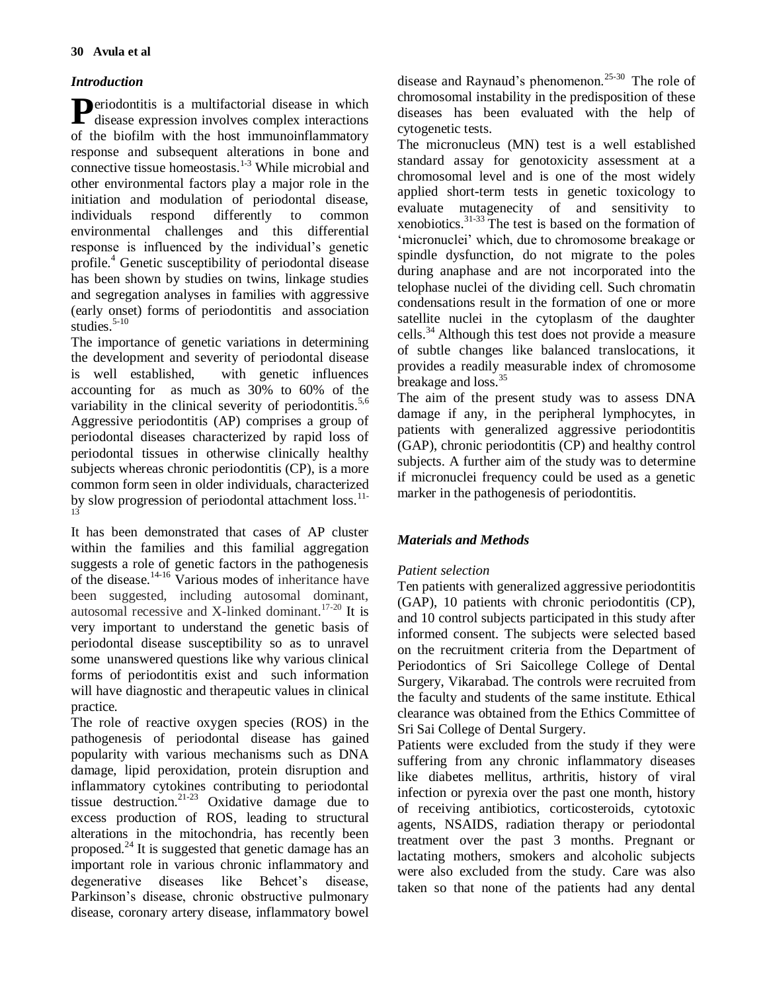## *Introduction*

**P**eriodontitis is a multifactorial disease in which disease expression involves complex interactions disease expression involves complex interactions of the biofilm with the host immunoinflammatory response and subsequent alterations in bone and connective tissue homeostasis.<sup>1-3</sup> While microbial and other environmental factors play a major role in the initiation and modulation of periodontal disease, individuals respond differently to common environmental challenges and this differential response is influenced by the individual's genetic profile.<sup>4</sup> Genetic susceptibility of periodontal disease has been shown by studies on twins, linkage studies and segregation analyses in families with aggressive (early onset) forms of periodontitis and association studies. $5-10$ 

The importance of genetic variations in determining the development and severity of periodontal disease is well established, with genetic influences accounting for as much as 30% to 60% of the variability in the clinical severity of periodontitis.<sup>5,6</sup> Aggressive periodontitis (AP) comprises a group of periodontal diseases characterized by rapid loss of periodontal tissues in otherwise clinically healthy subjects whereas chronic periodontitis (CP), is a more common form seen in older individuals, characterized by slow progression of periodontal attachment loss.<sup>11-</sup> 13

It has been demonstrated that cases of AP cluster within the families and this familial aggregation suggests a role of genetic factors in the pathogenesis of the disease.14-16 Various modes of inheritance have been suggested, including autosomal dominant, autosomal recessive and X-linked dominant.<sup>17-20</sup> It is very important to understand the genetic basis of periodontal disease susceptibility so as to unravel some unanswered questions like why various clinical forms of periodontitis exist and such information will have diagnostic and therapeutic values in clinical practice.

The role of reactive oxygen species (ROS) in the pathogenesis of periodontal disease has gained popularity with various mechanisms such as DNA damage, lipid peroxidation, protein disruption and inflammatory cytokines contributing to periodontal tissue destruction.<sup>21-23</sup> Oxidative damage due to excess production of ROS, leading to structural alterations in the mitochondria, has recently been proposed.<sup>24</sup> It is suggested that genetic damage has an important role in various chronic inflammatory and degenerative diseases like Behcet's disease, Parkinson's disease, chronic obstructive pulmonary disease, coronary artery disease, inflammatory bowel

disease and Raynaud's phenomenon.<sup>25-30</sup> The role of chromosomal instability in the predisposition of these diseases has been evaluated with the help of cytogenetic tests.

The micronucleus (MN) test is a well established standard assay for genotoxicity assessment at a chromosomal level and is one of the most widely applied short-term tests in genetic toxicology to evaluate mutagenecity of and sensitivity to xenobiotics.31-33 The test is based on the formation of 'micronuclei' which, due to chromosome breakage or spindle dysfunction, do not migrate to the poles during anaphase and are not incorporated into the telophase nuclei of the dividing cell. Such chromatin condensations result in the formation of one or more satellite nuclei in the cytoplasm of the daughter cells.<sup>34</sup>Although this test does not provide a measure of subtle changes like balanced translocations, it provides a readily measurable index of chromosome breakage and loss.<sup>35</sup>

The aim of the present study was to assess DNA damage if any, in the peripheral lymphocytes, in patients with generalized aggressive periodontitis (GAP), chronic periodontitis (CP) and healthy control subjects. A further aim of the study was to determine if micronuclei frequency could be used as a genetic marker in the pathogenesis of periodontitis.

## *Materials and Methods*

## *Patient selection*

Ten patients with generalized aggressive periodontitis (GAP), 10 patients with chronic periodontitis (CP), and 10 control subjects participated in this study after informed consent. The subjects were selected based on the recruitment criteria from the Department of Periodontics of Sri Saicollege College of Dental Surgery, Vikarabad. The controls were recruited from the faculty and students of the same institute. Ethical clearance was obtained from the Ethics Committee of Sri Sai College of Dental Surgery.

Patients were excluded from the study if they were suffering from any chronic inflammatory diseases like diabetes mellitus, arthritis, history of viral infection or pyrexia over the past one month, history of receiving antibiotics, corticosteroids, cytotoxic agents, NSAIDS, radiation therapy or periodontal treatment over the past 3 months. Pregnant or lactating mothers, smokers and alcoholic subjects were also excluded from the study. Care was also taken so that none of the patients had any dental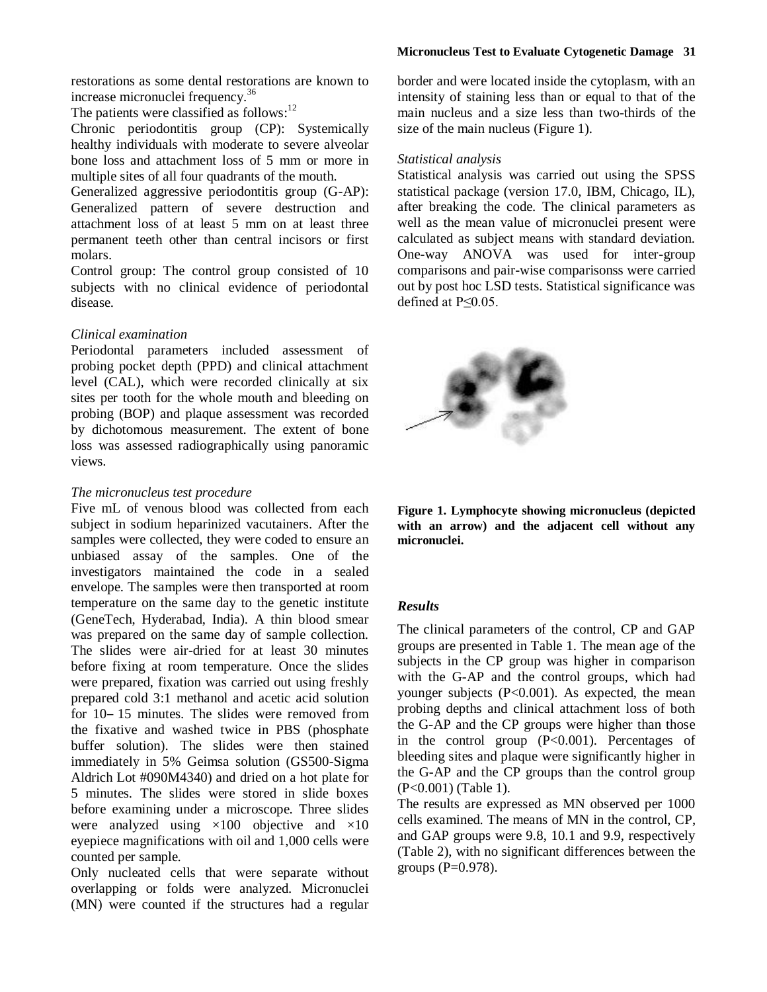restorations as some dental restorations are known to increase micronuclei frequency.<sup>36</sup>

The patients were classified as follows:<sup>12</sup>

Chronic periodontitis group (CP): Systemically healthy individuals with moderate to severe alveolar bone loss and attachment loss of 5 mm or more in multiple sites of all four quadrants of the mouth.

Generalized aggressive periodontitis group (G-AP): Generalized pattern of severe destruction and attachment loss of at least 5 mm on at least three permanent teeth other than central incisors or first molars.

Control group: The control group consisted of 10 subjects with no clinical evidence of periodontal disease.

#### *Clinical examination*

Periodontal parameters included assessment of probing pocket depth (PPD) and clinical attachment level (CAL), which were recorded clinically at six sites per tooth for the whole mouth and bleeding on probing (BOP) and plaque assessment was recorded by dichotomous measurement. The extent of bone loss was assessed radiographically using panoramic views.

#### *The micronucleus test procedure*

Five mL of venous blood was collected from each subject in sodium heparinized vacutainers. After the samples were collected, they were coded to ensure an unbiased assay of the samples. One of the investigators maintained the code in a sealed envelope. The samples were then transported at room temperature on the same day to the genetic institute (GeneTech, Hyderabad, India). A thin blood smear was prepared on the same day of sample collection. The slides were air-dried for at least 30 minutes before fixing at room temperature. Once the slides were prepared, fixation was carried out using freshly prepared cold 3:1 methanol and acetic acid solution for 10–15 minutes. The slides were removed from the fixative and washed twice in PBS (phosphate buffer solution). The slides were then stained immediately in 5% Geimsa solution (GS500-Sigma Aldrich Lot #090M4340) and dried on a hot plate for 5 minutes. The slides were stored in slide boxes before examining under a microscope. Three slides were analyzed using  $\times 100$  objective and  $\times 10$ eyepiece magnifications with oil and 1,000 cells were counted per sample.

Only nucleated cells that were separate without overlapping or folds were analyzed. Micronuclei (MN) were counted if the structures had a regular

border and were located inside the cytoplasm, with an intensity of staining less than or equal to that of the main nucleus and a size less than two-thirds of the size of the main nucleus (Figure 1).

#### *Statistical analysis*

Statistical analysis was carried out using the SPSS statistical package (version 17.0, IBM, Chicago, IL), after breaking the code. The clinical parameters as well as the mean value of micronuclei present were calculated as subject means with standard deviation. One-way ANOVA was used for inter-group comparisons and pair-wise comparisonss were carried out by post hoc LSD tests. Statistical significance was defined at P≤0.05.





### *Results*

The clinical parameters of the control, CP and GAP groups are presented in Table 1. The mean age of the subjects in the CP group was higher in comparison with the G-AP and the control groups, which had younger subjects (P<0.001). As expected, the mean probing depths and clinical attachment loss of both the G-AP and the CP groups were higher than those in the control group  $(P<0.001)$ . Percentages of bleeding sites and plaque were significantly higher in the G-AP and the CP groups than the control group (P<0.001) (Table 1).

The results are expressed as MN observed per 1000 cells examined. The means of MN in the control, CP, and GAP groups were 9.8, 10.1 and 9.9, respectively (Table 2), with no significant differences between the groups  $(P=0.978)$ .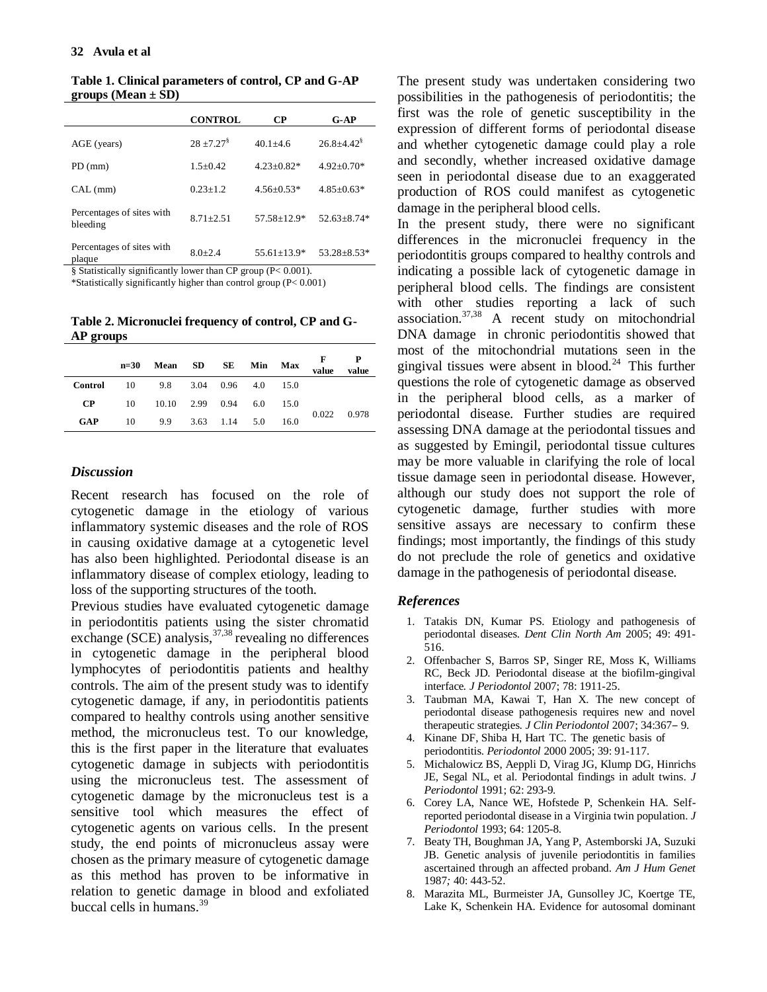**Table 1. Clinical parameters of control, CP and G-AP groups (Mean ± SD)**

|                                       | <b>CONTROL</b> | CР              | $G-AP$                     |  |
|---------------------------------------|----------------|-----------------|----------------------------|--|
| AGE (years)                           | $28 + 7.27$    | $40.1 + 4.6$    | $26.8 + 4.42$ <sup>§</sup> |  |
| $PD$ (mm)                             | $1.5+0.42$     | $4.23 + 0.82*$  | $4.92+0.70*$               |  |
| CAL (mm)                              | $0.23 + 1.2$   | $4.56 + 0.53*$  | $4.85 + 0.63*$             |  |
| Percentages of sites with<br>bleeding | $8.71 + 2.51$  | $57.58 + 12.9*$ | $52.63 + 8.74*$            |  |
| Percentages of sites with<br>plaque   | $8.0 + 2.4$    | $55.61 + 13.9*$ | $53.28 + 8.53*$            |  |

§ Statistically significantly lower than CP group (P< 0.001).

\*Statistically significantly higher than control group (P< 0.001)

**Table 2. Micronuclei frequency of control, CP and G-AP groups**

|            | $n=30$ | Mean SD SE           |                             | Min Max |      | F<br>value | value |
|------------|--------|----------------------|-----------------------------|---------|------|------------|-------|
| Control    |        | 10 9.8 3.04 0.96 4.0 |                             |         | 15.0 |            |       |
| <b>CP</b>  | 10     |                      | $10.10$ $2.99$ $0.94$ $6.0$ |         | 15.0 |            |       |
| <b>GAP</b> | 10     |                      | 9.9 3.63 1.14 5.0           |         | 16.0 | 0.022      | 0.978 |

#### *Discussion*

Recent research has focused on the role of cytogenetic damage in the etiology of various inflammatory systemic diseases and the role of ROS in causing oxidative damage at a cytogenetic level has also been highlighted. Periodontal disease is an inflammatory disease of complex etiology, leading to loss of the supporting structures of the tooth.

Previous studies have evaluated cytogenetic damage in periodontitis patients using the sister chromatid exchange (SCE) analysis,  $37,38$  revealing no differences in cytogenetic damage in the peripheral blood lymphocytes of periodontitis patients and healthy controls. The aim of the present study was to identify cytogenetic damage, if any, in periodontitis patients compared to healthy controls using another sensitive method, the micronucleus test. To our knowledge, this is the first paper in the literature that evaluates cytogenetic damage in subjects with periodontitis using the micronucleus test. The assessment of cytogenetic damage by the micronucleus test is a sensitive tool which measures the effect of cytogenetic agents on various cells. In the present study, the end points of micronucleus assay were chosen as the primary measure of cytogenetic damage as this method has proven to be informative in relation to genetic damage in blood and exfoliated buccal cells in humans.<sup>39</sup>

The present study was undertaken considering two possibilities in the pathogenesis of periodontitis; the first was the role of genetic susceptibility in the expression of different forms of periodontal disease and whether cytogenetic damage could play a role and secondly, whether increased oxidative damage seen in periodontal disease due to an exaggerated production of ROS could manifest as cytogenetic damage in the peripheral blood cells.

In the present study, there were no significant differences in the micronuclei frequency in the periodontitis groups compared to healthy controls and indicating a possible lack of cytogenetic damage in peripheral blood cells. The findings are consistent with other studies reporting a lack of such association. $37,38$  A recent study on mitochondrial DNA damage in chronic periodontitis showed that most of the mitochondrial mutations seen in the gingival tissues were absent in blood.<sup>24</sup> This further questions the role of cytogenetic damage as observed in the peripheral blood cells, as a marker of periodontal disease. Further studies are required assessing DNA damage at the periodontal tissues and as suggested by Emingil, periodontal tissue cultures may be more valuable in clarifying the role of local tissue damage seen in periodontal disease. However, although our study does not support the role of cytogenetic damage, further studies with more sensitive assays are necessary to confirm these findings; most importantly, the findings of this study do not preclude the role of genetics and oxidative damage in the pathogenesis of periodontal disease.

#### *References*

- 1. Tatakis DN, Kumar PS. Etiology and pathogenesis of periodontal diseases. *Dent Clin North Am* 2005; 49: 491- 516.
- 2. Offenbacher S, Barros SP, Singer RE, Moss K, Williams RC, Beck JD. Periodontal disease at the biofilm-gingival interface*. J Periodontol* 2007; 78: 1911-25.
- 3. Taubman MA, Kawai T, Han X. The new concept of periodontal disease pathogenesis requires new and novel therapeutic strategies. *J Clin Periodontol* 2007; 34:367-9.
- 4. Kinane DF, Shiba H, Hart TC. The genetic basis of periodontitis. *Periodontol* 2000 2005; 39: 91-117.
- 5. Michalowicz BS, Aeppli D, Virag JG, Klump DG, Hinrichs JE, Segal NL, et al. Periodontal findings in adult twins*. J Periodontol* 1991; 62: 293-9.
- 6. Corey LA, Nance WE, Hofstede P, Schenkein HA. Selfreported periodontal disease in a Virginia twin population. *J Periodontol* 1993; 64: 1205-8.
- 7. Beaty TH, Boughman JA, Yang P, Astemborski JA, Suzuki JB. Genetic analysis of juvenile periodontitis in families ascertained through an affected proband. *Am J Hum Genet*  1987*;* 40: 443-52.
- 8. Marazita ML, Burmeister JA, Gunsolley JC, Koertge TE, Lake K, Schenkein HA. Evidence for autosomal dominant